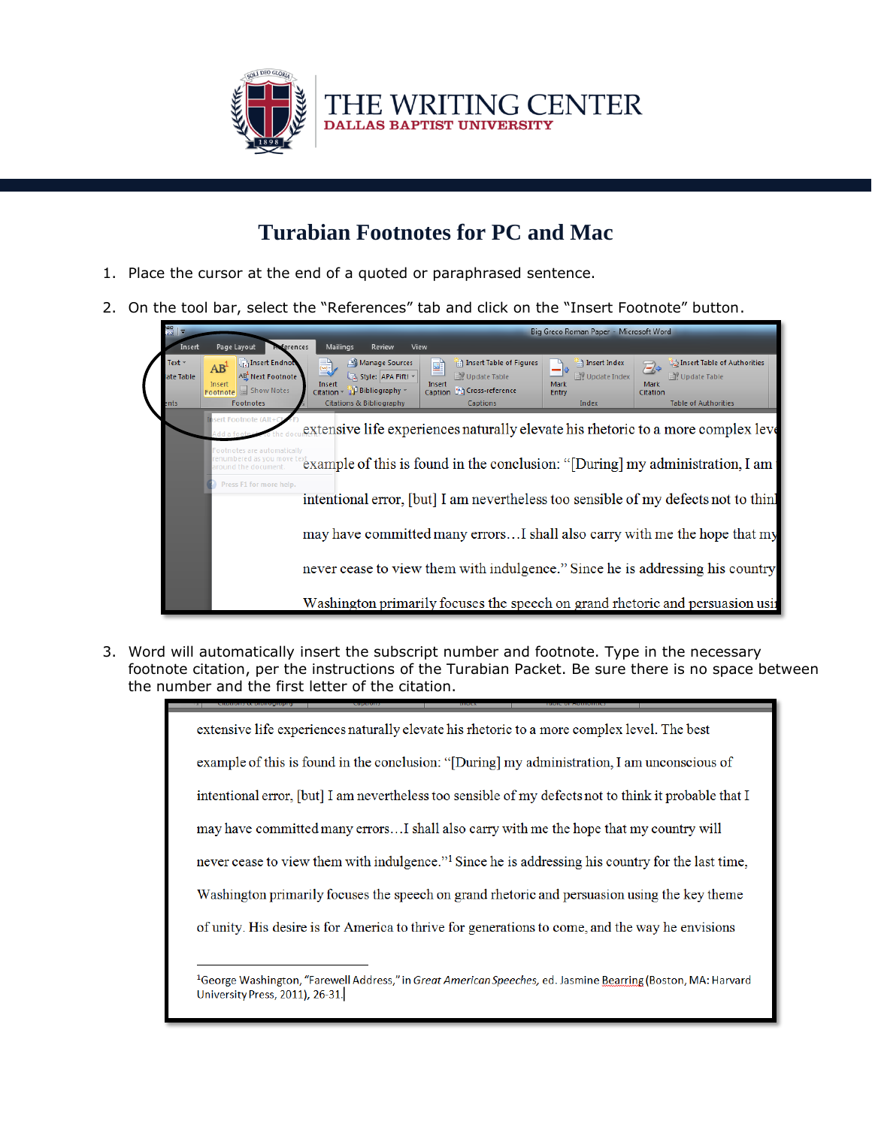

## **Turabian Footnotes for PC and Mac**

- 1. Place the cursor at the end of a quoted or paraphrased sentence.
- 2. On the tool bar, select the "References" tab and click on the "Insert Footnote" button.



3. Word will automatically insert the subscript number and footnote. Type in the necessary footnote citation, per the instructions of the Turabian Packet. Be sure there is no space between the number and the first letter of the citation.